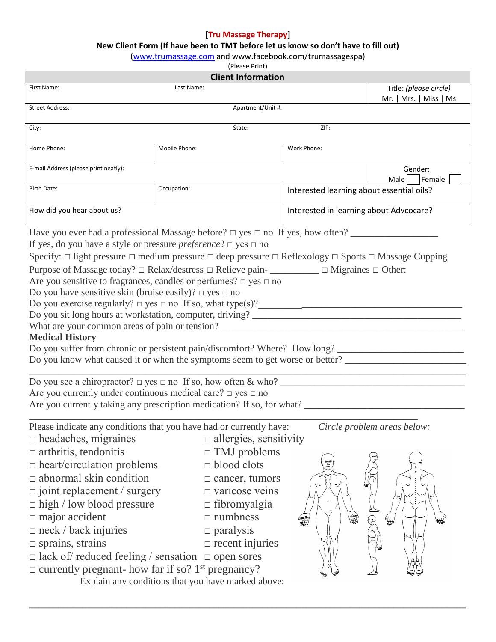## **[Tru Massage Therapy]**

## **New Client Form (If have been to TMT before let us know so don't have to fill out)**

[\(www.trumassage.com](http://www.trumassage.com/) and www.facebook.com/trumassagespa)

(Please Print)

| <b>Client Information</b>                                                                                                                                                                                                                                                                                                                                                                                                                                                                                                                                                                                                                                                                                                                                                                                                                                                   |                                                                                                                                                                                                                                                                                                                                                    |                                           |                                                  |  |
|-----------------------------------------------------------------------------------------------------------------------------------------------------------------------------------------------------------------------------------------------------------------------------------------------------------------------------------------------------------------------------------------------------------------------------------------------------------------------------------------------------------------------------------------------------------------------------------------------------------------------------------------------------------------------------------------------------------------------------------------------------------------------------------------------------------------------------------------------------------------------------|----------------------------------------------------------------------------------------------------------------------------------------------------------------------------------------------------------------------------------------------------------------------------------------------------------------------------------------------------|-------------------------------------------|--------------------------------------------------|--|
| First Name:                                                                                                                                                                                                                                                                                                                                                                                                                                                                                                                                                                                                                                                                                                                                                                                                                                                                 | Last Name:                                                                                                                                                                                                                                                                                                                                         |                                           | Title: (please circle)<br>Mr.   Mrs.   Miss   Ms |  |
| Apartment/Unit #:<br><b>Street Address:</b>                                                                                                                                                                                                                                                                                                                                                                                                                                                                                                                                                                                                                                                                                                                                                                                                                                 |                                                                                                                                                                                                                                                                                                                                                    |                                           |                                                  |  |
| City:                                                                                                                                                                                                                                                                                                                                                                                                                                                                                                                                                                                                                                                                                                                                                                                                                                                                       | State:                                                                                                                                                                                                                                                                                                                                             | ZIP:                                      |                                                  |  |
| Home Phone:                                                                                                                                                                                                                                                                                                                                                                                                                                                                                                                                                                                                                                                                                                                                                                                                                                                                 | Mobile Phone:                                                                                                                                                                                                                                                                                                                                      | Work Phone:                               |                                                  |  |
| E-mail Address (please print neatly):                                                                                                                                                                                                                                                                                                                                                                                                                                                                                                                                                                                                                                                                                                                                                                                                                                       |                                                                                                                                                                                                                                                                                                                                                    |                                           | Gender:<br>Female<br>Male                        |  |
| <b>Birth Date:</b>                                                                                                                                                                                                                                                                                                                                                                                                                                                                                                                                                                                                                                                                                                                                                                                                                                                          | Occupation:                                                                                                                                                                                                                                                                                                                                        | Interested learning about essential oils? |                                                  |  |
| How did you hear about us?                                                                                                                                                                                                                                                                                                                                                                                                                                                                                                                                                                                                                                                                                                                                                                                                                                                  |                                                                                                                                                                                                                                                                                                                                                    | Interested in learning about Advcocare?   |                                                  |  |
| Have you ever had a professional Massage before? $\Box$ yes $\Box$ no If yes, how often?<br>If yes, do you have a style or pressure <i>preference</i> ? $\Box$ yes $\Box$ no<br>Specify: $\Box$ light pressure $\Box$ medium pressure $\Box$ deep pressure $\Box$ Reflexology $\Box$ Sports $\Box$ Massage Cupping<br>Purpose of Massage today? □ Relax/destress □ Relieve pain-<br><u> </u> $\Box$ Migraines □ Other:<br>Are you sensitive to fragrances, candles or perfumes? $\Box$ yes $\Box$ no<br>Do you have sensitive skin (bruise easily)? $\Box$ yes $\Box$ no<br><b>Medical History</b><br>Do you suffer from chronic or persistent pain/discomfort? Where? How long?<br>Do you know what caused it or when the symptoms seem to get worse or better? _________________________________<br>Are you currently under continuous medical care? $\Box$ yes $\Box$ no |                                                                                                                                                                                                                                                                                                                                                    |                                           |                                                  |  |
| $\Box$ headaches, migraines<br>$\Box$ arthritis, tendonitis<br>$\Box$ heart/circulation problems<br>$\Box$ abnormal skin condition<br>$\Box$ joint replacement / surgery<br>$\Box$ high / low blood pressure<br>$\Box$ major accident<br>$\Box$ neck / back injuries<br>$\square$ sprains, strains<br>$\Box$ lack of/ reduced feeling / sensation $\Box$ open sores<br>$\Box$ currently pregnant- how far if so? 1 <sup>st</sup> pregnancy?                                                                                                                                                                                                                                                                                                                                                                                                                                 | Please indicate any conditions that you have had or currently have:<br>$\Box$ allergies, sensitivity<br>TMJ problems<br>П<br>$\Box$ blood clots<br>$\square$ cancer, tumors<br>$\Box$ varicose veins<br>$\Box$ fibromyalgia<br>$\Box$ numbness<br>$\Box$ paralysis<br>$\Box$ recent injuries<br>Explain any conditions that you have marked above: | 鑻<br>₩                                    | Circle problem areas below:<br><sup>61</sup> ⊯   |  |

**\_\_\_\_\_\_\_\_\_\_\_\_\_\_\_\_\_\_\_\_\_\_\_\_\_\_\_\_\_\_\_\_\_\_\_\_\_\_\_\_\_\_\_\_\_\_\_\_\_\_\_\_\_\_\_\_\_\_\_\_\_\_\_\_\_\_\_\_\_\_\_\_\_\_\_\_\_\_\_\_\_\_\_\_\_\_\_\_\_\_**